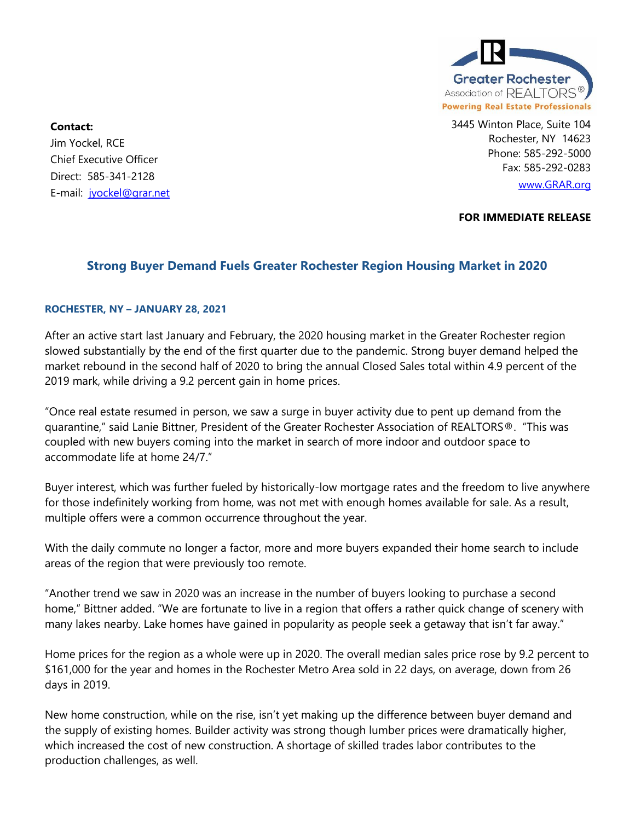

3445 Winton Place, Suite 104 Rochester, NY 14623 Phone: 585-292-5000 Fax: 585-292-0283 [www.GRAR.org](http://www.grar.org/)

**Contact:**  Jim Yockel, RCE Chief Executive Officer Direct: 585-341-2128 E-mail: [jyockel@grar.net](mailto:jyockel@grar.net)

**FOR IMMEDIATE RELEASE**

## **Strong Buyer Demand Fuels Greater Rochester Region Housing Market in 2020**

## **ROCHESTER, NY – JANUARY 28, 2021**

After an active start last January and February, the 2020 housing market in the Greater Rochester region slowed substantially by the end of the first quarter due to the pandemic. Strong buyer demand helped the market rebound in the second half of 2020 to bring the annual Closed Sales total within 4.9 percent of the 2019 mark, while driving a 9.2 percent gain in home prices.

"Once real estate resumed in person, we saw a surge in buyer activity due to pent up demand from the quarantine," said Lanie Bittner, President of the Greater Rochester Association of REALTORS®. "This was coupled with new buyers coming into the market in search of more indoor and outdoor space to accommodate life at home 24/7."

Buyer interest, which was further fueled by historically-low mortgage rates and the freedom to live anywhere for those indefinitely working from home, was not met with enough homes available for sale. As a result, multiple offers were a common occurrence throughout the year.

With the daily commute no longer a factor, more and more buyers expanded their home search to include areas of the region that were previously too remote.

"Another trend we saw in 2020 was an increase in the number of buyers looking to purchase a second home," Bittner added. "We are fortunate to live in a region that offers a rather quick change of scenery with many lakes nearby. Lake homes have gained in popularity as people seek a getaway that isn't far away."

Home prices for the region as a whole were up in 2020. The overall median sales price rose by 9.2 percent to \$161,000 for the year and homes in the Rochester Metro Area sold in 22 days, on average, down from 26 days in 2019.

New home construction, while on the rise, isn't yet making up the difference between buyer demand and the supply of existing homes. Builder activity was strong though lumber prices were dramatically higher, which increased the cost of new construction. A shortage of skilled trades labor contributes to the production challenges, as well.